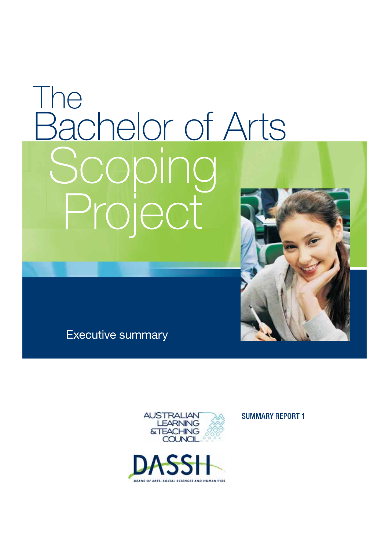# The<br>Bachelor of Arts Bachelor of Arts Project Project



Executive summary





SUMMARY REPORT 1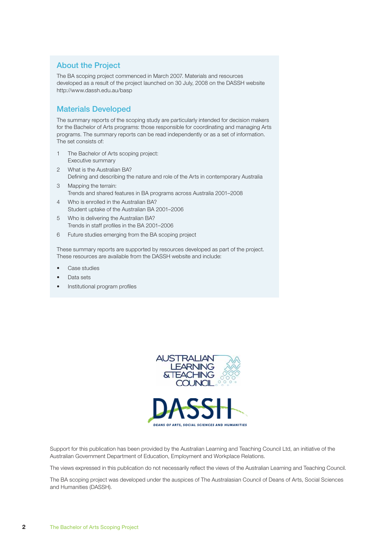# **About the Project**

The BA scoping project commenced in March 2007. Materials and resources developed as a result of the project launched on 30 July, 2008 on the DASSH website http://www.dassh.edu.au/basp

# **Materials Developed**

The summary reports of the scoping study are particularly intended for decision makers for the Bachelor of Arts programs: those responsible for coordinating and managing Arts programs. The summary reports can be read independently or as a set of information. The set consists of:

- 1 The Bachelor of Arts scoping project: Executive summary
- 2 What is the Australian BA? Defining and describing the nature and role of the Arts in contemporary Australia
- 3 Mapping the terrain: Trends and shared features in BA programs across Australia 2001–2008
- 4 Who is enrolled in the Australian BA? Student uptake of the Australian BA 2001–2006
- 5 Who is delivering the Australian BA? Trends in staff profiles in the BA 2001-2006
- 6 Future studies emerging from the BA scoping project

These summary reports are supported by resources developed as part of the project. These resources are available from the DASSH website and include:

- Case studies
- Data sets
- Institutional program profiles





Support for this publication has been provided by the Australian Learning and Teaching Council Ltd, an initiative of the Australian Government Department of Education, Employment and Workplace Relations.

The views expressed in this publication do not necessarily reflect the views of the Australian Learning and Teaching Council.

The BA scoping project was developed under the auspices of The Australasian Council of Deans of Arts, Social Sciences and Humanities (DASSH).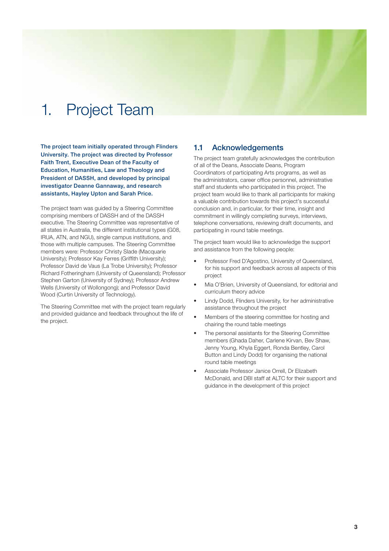# 1. Project Team

**The project team initially operated through Flinders University. The project was directed by Professor Faith Trent, Executive Dean of the Faculty of Education, Humanities, Law and Theology and President of DASSH, and developed by principal investigator Deanne Gannaway, and research assistants, Hayley Upton and Sarah Price.**

The project team was guided by a Steering Committee comprising members of DASSH and of the DASSH executive. The Steering Committee was representative of all states in Australia, the different institutional types (G08, IRUA, ATN, and NGU), single campus institutions, and those with multiple campuses. The Steering Committee members were: Professor Christy Slade (Macquarie University); Professor Kay Ferres (Griffith University); Professor David de Vaus (La Trobe University); Professor Richard Fotheringham (University of Queensland); Professor Stephen Garton (University of Sydney); Professor Andrew Wells (University of Wollongong); and Professor David Wood (Curtin University of Technology).

The Steering Committee met with the project team regularly and provided guidance and feedback throughout the life of the project.

# **1.1 Acknowledgements**

The project team gratefully acknowledges the contribution of all of the Deans, Associate Deans, Program Coordinators of participating Arts programs, as well as the administrators, career office personnel, administrative staff and students who participated in this project. The project team would like to thank all participants for making a valuable contribution towards this project's successful conclusion and, in particular, for their time, insight and commitment in willingly completing surveys, interviews, telephone conversations, reviewing draft documents, and participating in round table meetings.

The project team would like to acknowledge the support and assistance from the following people:

- Professor Fred D'Agostino, University of Queensland, for his support and feedback across all aspects of this project
- Mia O'Brien, University of Queensland, for editorial and curriculum theory advice
- Lindy Dodd, Flinders University, for her administrative assistance throughout the project
- Members of the steering committee for hosting and chairing the round table meetings
- The personal assistants for the Steering Committee members (Ghada Daher, Carlene Kirvan, Bev Shaw, Jenny Young, Khyla Eggert, Ronda Bentley, Carol Button and Lindy Dodd) for organising the national round table meetings
- Associate Professor Janice Orrell, Dr Elizabeth McDonald, and DBI staff at ALTC for their support and guidance in the development of this project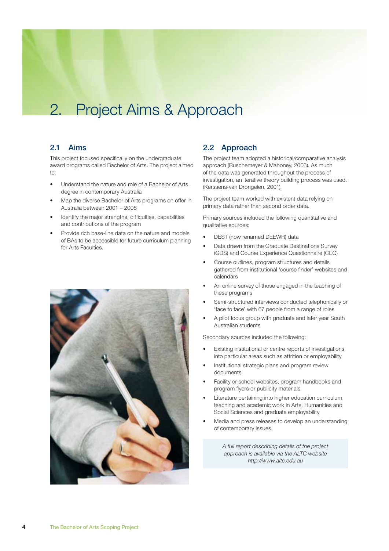# 2. Project Aims & Approach

## **2.1 Aims**

This project focused specifically on the undergraduate award programs called Bachelor of Arts. The project aimed  $\dots$ 

- Understand the nature and role of a Bachelor of Arts degree in contemporary Australia
- Map the diverse Bachelor of Arts programs on offer in Australia between 2001 – 2008
- Identify the major strengths, difficulties, capabilities and contributions of the program
- Provide rich base-line data on the nature and models of BAs to be accessible for future curriculum planning for Arts Faculties.



# **2.2 Approach**

The project team adopted a historical/comparative analysis approach (Ruschemeyer & Mahoney, 2003). As much of the data was generated throughout the process of investigation, an iterative theory building process was used. (Kerssens-van Drongelen, 2001).

The project team worked with existent data relying on primary data rather than second order data.

Primary sources included the following quantitative and qualitative sources:

- DEST (now renamed DEEWR) data
- Data drawn from the Graduate Destinations Survey (GDS) and Course Experience Questionnaire (CEQ)
- Course outlines, program structures and details gathered from institutional 'course finder' websites and calendars
- An online survey of those engaged in the teaching of these programs
- Semi-structured interviews conducted telephonically or 'face to face' with 67 people from a range of roles
- A pilot focus group with graduate and later year South Australian students

Secondary sources included the following:

- Existing institutional or centre reports of investigations into particular areas such as attrition or employability
- Institutional strategic plans and program review documents
- Facility or school websites, program handbooks and program flyers or publicity materials
- Literature pertaining into higher education curriculum, teaching and academic work in Arts, Humanities and Social Sciences and graduate employability
- Media and press releases to develop an understanding of contemporary issues.

*A full report describing details of the project approach is available via the ALTC website http://www.altc.edu.au*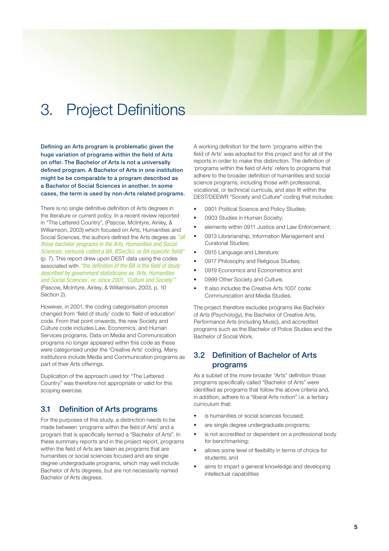# 3. Project Definitions

Defining an Arts program is problematic given the huge variation of programs within the field of Arts **on offer. The Bachelor of Arts is not a universally**  defined program. A Bachelor of Arts in one institution **might be be comparable to a program described as a Bachelor of Social Sciences in another. In some cases, the term is used by non-Arts related programs.**

There is no single definitive definition of Arts degrees in the literature or current policy. In a recent review reported in "The Lettered Country", (Pascoe, McIntyre, Ainley, & Williamson, 2003) which focused on Arts, Humanities and Social Sciences, the authors defined the Arts degree as *"all those bachelor programs in the Arts, Humanities and Social Sciences, variously called a BA, BSocSci, or BA (specific field)"* (p. 7). This report drew upon DEST data using the codes associated with "the definition of the BA is the field of study *described by government statisticians as 'Arts, Humanities and Social Sciences', or, since 2001, 'Culture and Society'"* (Pascoe, McIntyre, Ainley, & Williamson, 2003, p. 10 Section 2).

However, in 2001, the coding categorisation process changed from 'field of study' code to 'field of education' code. From that point onwards, the new Society and Culture code includes Law, Economics, and Human Services programs. Data on Media and Communication programs no longer appeared within this code as these were categorised under the 'Creative Arts' coding. Many institutions include Media and Communication programs as part of their Arts offerings.

Duplication of the approach used for "The Lettered Country" was therefore not appropriate or valid for this scoping exercise.

# **3.1 Definition of Arts programs**

For the purposes of this study, a distinction needs to be made between 'programs within the field of Arts' and a program that is specifically termed a "Bachelor of Arts". In these summary reports and in the project report, programs within the field of Arts are taken as programs that are humanities or social sciences focused and are single degree undergraduate programs, which may well include Bachelor of Arts degrees, but are not necessarily named Bachelor of Arts degrees.

A working definition for the term 'programs within the field of Arts' was adopted for this project and for all of the reports in order to make this distinction. The definition of 'programs within the field of Arts' refers to programs that adhere to the broader definition of humanities and social science programs, including those with professional, vocational, or technical curricula, and also fit within the DEST/DEEWR "Society and Culture" coding that includes:

- 0901 Political Science and Policy Studies;
- 0903 Studies in Human Society;
- elements within 0911 Justice and Law Enforcement;
- 0913 Librarianship, Information Management and Curatorial Studies;
- 0915 Language and Literature;
- 0917 Philosophy and Religious Studies;
- 0919 Economics and Econometrics and
- 0999 Other Society and Culture.
- It also includes the Creative Arts 1007 code: Communication and Media Studies.

The project therefore excludes programs like Bachelor of Arts (Psychology), the Bachelor of Creative Arts, Performance Arts (including Music), and accredited programs such as the Bachelor of Police Studies and the Bachelor of Social Work.

# **3.2 Definition of Bachelor of Arts programs**

As a subset of the more broader "Arts" definition those programs specifically called "Bachelor of Arts" were identified as programs that follow the above criteria and, in addition, adhere to a "liberal Arts notion" i.e. a tertiary curriculum that:

- is humanities or social sciences focused;
- are single degree undergraduate programs;
- is not accredited or dependent on a professional body for benchmarking;
- allows some level of flexibility in terms of choice for students; and
- aims to impart a general knowledge and developing intellectual capabilities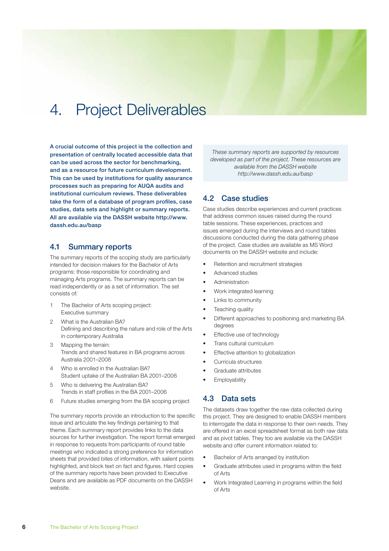# 4. Project Deliverables

**A crucial outcome of this project is the collection and presentation of centrally located accessible data that can be used across the sector for benchmarking, and as a resource for future curriculum development. This can be used by institutions for quality assurance processes such as preparing for AUQA audits and institutional curriculum reviews. These deliverables**  take the form of a database of program profiles, case **studies, data sets and highlight or summary reports. All are available via the DASSH website http://www. dassh.edu.au/basp**

## **4.1 Summary reports**

The summary reports of the scoping study are particularly intended for decision makers for the Bachelor of Arts programs: those responsible for coordinating and managing Arts programs. The summary reports can be read independently or as a set of information. The set consists of:

- 1 The Bachelor of Arts scoping project: Executive summary
- 2 What is the Australian BA? Defining and describing the nature and role of the Arts in contemporary Australia
- 3 Mapping the terrain: Trends and shared features in BA programs across Australia 2001–2008
- 4 Who is enrolled in the Australian BA? Student uptake of the Australian BA 2001–2006
- 5 Who is delivering the Australian BA? Trends in staff profiles in the BA 2001-2006
- 6 Future studies emerging from the BA scoping project

The summary reports provide an introduction to the specific issue and articulate the key findings pertaining to that theme. Each summary report provides links to the data sources for further investigation. The report format emerged in response to requests from participants of round table meetings who indicated a strong preference for information sheets that provided bites of information, with salient points highlighted, and block text on fact and figures. Hard copies of the summary reports have been provided to Executive Deans and are available as PDF documents on the DASSH website.

*These summary reports are supported by resources developed as part of the project. These resources are available from the DASSH website http://www.dassh.edu.au/basp*

# **4.2 Case studies**

Case studies describe experiences and current practices that address common issues raised during the round table sessions. These experiences, practices and issues emerged during the interviews and round tables discussions conducted during the data gathering phase of the project. Case studies are available as MS Word documents on the DASSH website and include:

- Retention and recruitment strategies
- Advanced studies
- **Administration**
- Work integrated learning
- Links to community
- Teaching quality
- Different approaches to positioning and marketing BA degrees
- Effective use of technology
- Trans cultural curriculum
- **Effective attention to globalization**
- Curricula structures
- Graduate attributes
- **Employability**

## **4.3 Data sets**

The datasets draw together the raw data collected during this project. They are designed to enable DASSH members to interrogate the data in response to their own needs. They are offered in an excel spreadsheet format as both raw data and as pivot tables. They too are available via the DASSH website and offer current information related to:

- Bachelor of Arts arranged by institution
- Graduate attributes used in programs within the field of Arts
- Work Integrated Learning in programs within the field of Arts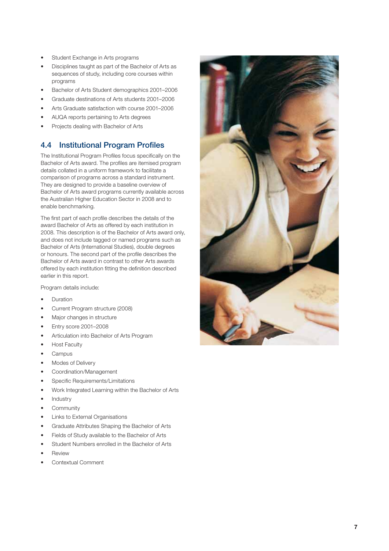- Student Exchange in Arts programs
- Disciplines taught as part of the Bachelor of Arts as sequences of study, including core courses within programs
- Bachelor of Arts Student demographics 2001–2006
- Graduate destinations of Arts students 2001–2006
- Arts Graduate satisfaction with course 2001–2006
- AUQA reports pertaining to Arts degrees
- Projects dealing with Bachelor of Arts

# **4.4 Institutional Program Profiles**

The Institutional Program Profiles focus specifically on the Bachelor of Arts award. The profiles are itemised program details collated in a uniform framework to facilitate a comparison of programs across a standard instrument. They are designed to provide a baseline overview of Bachelor of Arts award programs currently available across the Australian Higher Education Sector in 2008 and to enable benchmarking.

The first part of each profile describes the details of the award Bachelor of Arts as offered by each institution in 2008. This description is of the Bachelor of Arts award only, and does not include tagged or named programs such as Bachelor of Arts (International Studies), double degrees or honours. The second part of the profile describes the Bachelor of Arts award in contrast to other Arts awards offered by each institution fitting the definition described earlier in this report.

Program details include:

- Duration
- Current Program structure (2008)
- Major changes in structure
- Entry score 2001–2008
- Articulation into Bachelor of Arts Program
- Host Faculty
- Campus
- Modes of Delivery
- Coordination/Management
- Specific Requirements/Limitations
- Work Integrated Learning within the Bachelor of Arts
- Industry
- **Community**
- Links to External Organisations
- Graduate Attributes Shaping the Bachelor of Arts
- Fields of Study available to the Bachelor of Arts
- Student Numbers enrolled in the Bachelor of Arts
- **Review**
- Contextual Comment

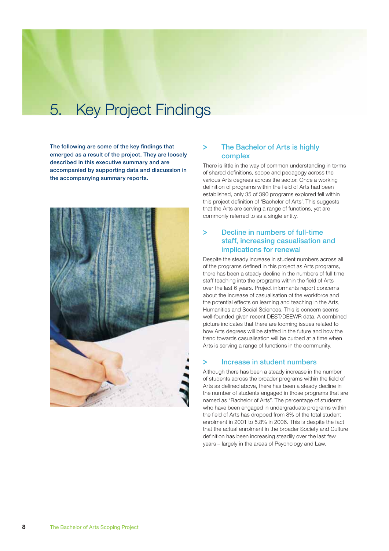# 5. Key Project Findings

The following are some of the key findings that **emerged as a result of the project. They are loosely described in this executive summary and are accompanied by supporting data and discussion in the accompanying summary reports.**



## **The Bachelor of Arts is highly complex**

There is little in the way of common understanding in terms of shared definitions, scope and pedagogy across the various Arts degrees across the sector. Once a working definition of programs within the field of Arts had been established, only 35 of 390 programs explored fell within this project definition of 'Bachelor of Arts'. This suggests that the Arts are serving a range of functions, yet are commonly referred to as a single entity.

# **> Decline in numbers of full-time staff, increasing casualisation and implications for renewal**

Despite the steady increase in student numbers across all of the programs defined in this project as Arts programs, there has been a steady decline in the numbers of full time staff teaching into the programs within the field of Arts over the last 6 years. Project informants report concerns about the increase of casualisation of the workforce and the potential effects on learning and teaching in the Arts, Humanities and Social Sciences. This is concern seems well-founded given recent DEST/DEEWR data. A combined picture indicates that there are looming issues related to how Arts degrees will be staffed in the future and how the trend towards casualisation will be curbed at a time when Arts is serving a range of functions in the community.

## **> Increase in student numbers**

Although there has been a steady increase in the number of students across the broader programs within the field of Arts as defined above, there has been a steady decline in the number of students engaged in those programs that are named as "Bachelor of Arts". The percentage of students who have been engaged in undergraduate programs within the field of Arts has dropped from 8% of the total student enrolment in 2001 to 5.8% in 2006. This is despite the fact that the actual enrolment in the broader Society and Culture definition has been increasing steadily over the last few years – largely in the areas of Psychology and Law.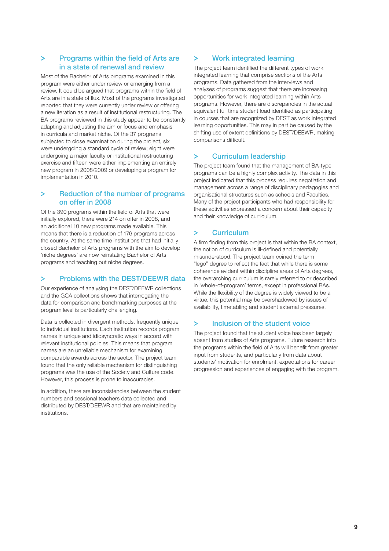#### **>** Programs within the field of Arts are **in a state of renewal and review**

Most of the Bachelor of Arts programs examined in this program were either under review or emerging from a review. It could be argued that programs within the field of Arts are in a state of flux. Most of the programs investigated reported that they were currently under review or offering a new iteration as a result of institutional restructuring. The BA programs reviewed in this study appear to be constantly adapting and adjusting the aim or focus and emphasis in curricula and market niche. Of the 37 programs subjected to close examination during the project, six were undergoing a standard cycle of review; eight were undergoing a major faculty or institutional restructuring exercise and fifteen were either implementing an entirely new program in 2008/2009 or developing a program for implementation in 2010.

# **> Reduction of the number of programs on offer in 2008**

Of the 390 programs within the field of Arts that were initially explored, there were 214 on offer in 2008, and an additional 10 new programs made available. This means that there is a reduction of 176 programs across the country. At the same time institutions that had initially closed Bachelor of Arts programs with the aim to develop 'niche degrees' are now reinstating Bachelor of Arts programs and teaching out niche degrees.

## **> Problems with the DEST/DEEWR data**

Our experience of analysing the DEST/DEEWR collections and the GCA collections shows that interrogating the data for comparison and benchmarking purposes at the program level is particularly challenging.

Data is collected in divergent methods, frequently unique to individual institutions. Each institution records program names in unique and idiosyncratic ways in accord with relevant institutional policies. This means that program names are an unreliable mechanism for examining comparable awards across the sector. The project team found that the only reliable mechanism for distinguishing programs was the use of the Society and Culture code. However, this process is prone to inaccuracies.

In addition, there are inconsistencies between the student numbers and sessional teachers data collected and distributed by DEST/DEEWR and that are maintained by institutions.

# **> Work integrated learning**

The project team identified the different types of work integrated learning that comprise sections of the Arts programs. Data gathered from the interviews and analyses of programs suggest that there are increasing opportunities for work integrated learning within Arts programs. However, there are discrepancies in the actual equivalent full time student load identified as participating in courses that are recognized by DEST as work integrated learning opportunities. This may in part be caused by the shifting use of extent definitions by DEST/DEEWR, making comparisons difficult.

# **> Curriculum leadership**

The project team found that the management of BA-type programs can be a highly complex activity. The data in this project indicated that this process requires negotiation and management across a range of disciplinary pedagogies and organisational structures such as schools and Faculties. Many of the project participants who had responsibility for these activities expressed a concern about their capacity and their knowledge of curriculum.

## **> Curriculum**

A firm finding from this project is that within the BA context, the notion of curriculum is ill-defined and potentially misunderstood. The project team coined the term "lego" degree to reflect the fact that while there is some coherence evident within discipline areas of Arts degrees, the overarching curriculum is rarely referred to or described in 'whole-of-program' terms, except in professional BAs. While the flexibility of the degree is widely viewed to be a virtue, this potential may be overshadowed by issues of availability, timetabling and student external pressures.

## **> Inclusion of the student voice**

The project found that the student voice has been largely absent from studies of Arts programs. Future research into the programs within the field of Arts will benefit from greater input from students, and particularly from data about students' motivation for enrolment, expectations for career progression and experiences of engaging with the program.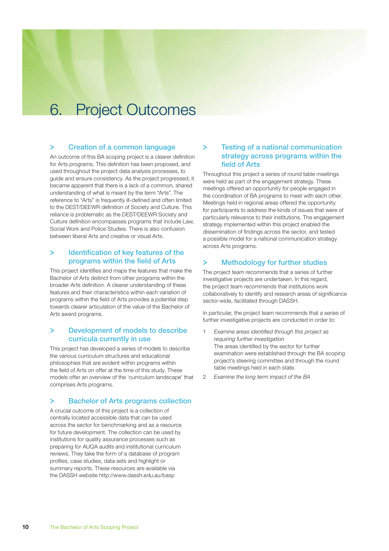# 6. Project Outcomes

#### **> Creation of a common language**

An outcome of this BA scoping project is a clearer definition for Arts programs. This definition has been proposed, and used throughout the project data analysis processes, to guide and ensure consistency. As the project progressed, it became apparent that there is a lack of a common, shared understanding of what is meant by the term "Arts". The reference to "Arts" is frequently ill-defined and often limited to the DEST/DEEWR definition of Society and Culture. This reliance is problematic as the DEST/DEEWR Society and Culture definition encompasses programs that include Law, Social Work and Police Studies. There is also confusion between liberal Arts and creative or visual Arts.

#### **>** Identification of key features of the **programs within the field of Arts**

This project identifies and maps the features that make the Bachelor of Arts distinct from other programs within the broader Arts definition. A clearer understanding of these features and their characteristics within each variation of programs within the field of Arts provides a potential step towards clearer articulation of the value of the Bachelor of Arts award programs.

#### **> Development of models to describe curricula currently in use**

This project has developed a series of models to describe the various curriculum structures and educational philosophies that are evident within programs within the field of Arts on offer at the time of this study. These models offer an overview of the 'curriculum landscape' that comprises Arts programs.

## **> Bachelor of Arts programs collection**

A crucial outcome of this project is a collection of centrally located accessible data that can be used across the sector for benchmarking and as a resource for future development. The collection can be used by institutions for quality assurance processes such as preparing for AUQA audits and institutional curriculum reviews. They take the form of a database of program profiles, case studies, data sets and highlight or summary reports. These resources are available via the DASSH website http://www.dassh.edu.au/basp

# **> Testing of a national communication strategy across programs within the field of Arts**

Throughout this project a series of round table meetings were held as part of the engagement strategy. These meetings offered an opportunity for people engaged in the coordination of BA programs to meet with each other. Meetings held in regional areas offered the opportunity for participants to address the kinds of issues that were of particularly relevance to their institutions. The engagement strategy implemented within this project enabled the dissemination of findings across the sector, and tested a possible model for a national communication strategy across Arts programs.

# **> Methodology for further studies**

The project team recommends that a series of further investigative projects are undertaken. In this regard, the project team recommends that institutions work collaboratively to identify and research areas of significance sector-wide, facilitated through DASSH.

In particular, the project team recommends that a series of further investigative projects are conducted in order to:

- 1 Examine areas identified through this project as *requiring further investigation* The areas identified by the sector for further examination were established through the BA scoping project's steering committee and through the round table meetings held in each state.
- 2 *Examine the long term impact of the BA*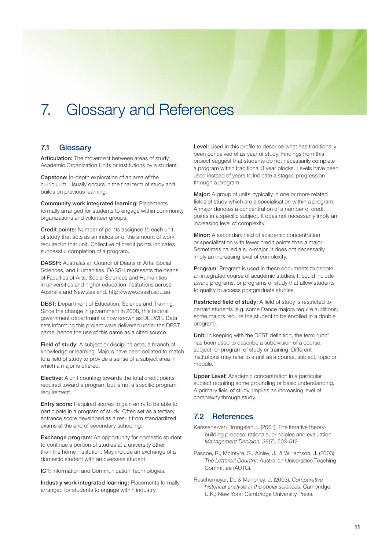# 7. Glossary and References

# **7.1 Glossary**

**Articulation:** The movement between areas of study, Academic Organization Units or institutions by a student.

**Capstone:** In-depth exploration of an area of the curriculum. Usually occurs in the final term of study and builds on previous learning.

**Community work integrated learning:** Placements formally arranged for students to engage within community organizations and volunteer groups.

**Credit points:** Number of points assigned to each unit of study that acts as an indicator of the amount of work required in that unit. Collective of credit points indicates successful completion of a program.

**DASSH:** Australasian Council of Deans of Arts, Social Sciences, and Humanities. DASSH represents the deans of Faculties of Arts, Social Sciences and Humanities in universities and higher education institutions across Australia and New Zealand. http://www.dassh.edu.au

**DEST:** Department of Education, Science and Training. Since the change in government in 2008, this federal government department is now known as DEEWR. Data sets informing this project were delivered under the DEST name, hence the use of this name as a cited source.

**Field of study:** A subject or discipline area; a branch of knowledge or learning. Majors have been collated to match to a field of study to provide a sense of a subject area in which a major is offered.

**Elective:** A unit counting towards the total credit points required toward a program but is not a specific program requirement.

**Entry score:** Required scores to gain entry to be able to participate in a program of study. Often set as a tertiary entrance score developed as a result from standardized exams at the end of secondary schooling.

**Exchange program:** An opportunity for domestic student to continue a portion of studies at a university other than the home institution. May include an exchange of a domestic student with an overseas student.

**ICT:** Information and Communication Technologies.

**Industry work integrated learning:** Placements formally arranged for students to engage within industry.

Level: Used in this profile to describe what has traditionally been conceived of as year of study. Findings from this project suggest that students do not necessarily complete a program within traditional 3 year blocks. Levels have been used instead of years to indicate a staged progression through a program.

**Major:** A group of units, typically in one or more related fields of study which are a specialisation within a program. A major denotes a concentration of a number of credit points in a specific subject. It does not necessarily imply an increasing level of complexity.

**Minor:** A secondary field of academic concentration or specialization with fewer credit points than a major. Sometimes called a sub-major. It does not necessarily imply an increasing level of complexity.

**Program:** Program is used in these documents to denote an integrated course of academic studies. It could include award programs, or programs of study that allow students to qualify to access postgraduate studies.

**Restricted field of study:** A field of study is restricted to certain students (e.g. some Dance majors require auditions; some majors require the student to be enrolled in a double program).

**Unit:** In keeping with the DEST definition, the term "unit" has been used to describe a subdivision of a course, subject, or program of study or training. Different institutions may refer to a unit as a course, subject, topic or module.

**Upper Level:** Academic concentration in a particular subject requiring some grounding or basic understanding. A primary field of study. Implies an increasing level of complexity through study.

# **7.2 References**

Kerssens-van Drongelen, I. (2001). The iterative theorybuilding process: rationale, principles and evaluation. *Management Decision, 39*(7), 503-512.

Pascoe, R., McIntyre, S., Ainley, J., & Williamson, J. (2003). *The Lettered Country*: Australian Universities Teaching Committee (AUTC).

Ruschemeyer, D., & Mahoney, J. (2003). *Comparative historical analysis in the social sciences*. Cambridge, U.K.; New York: Cambridge University Press.